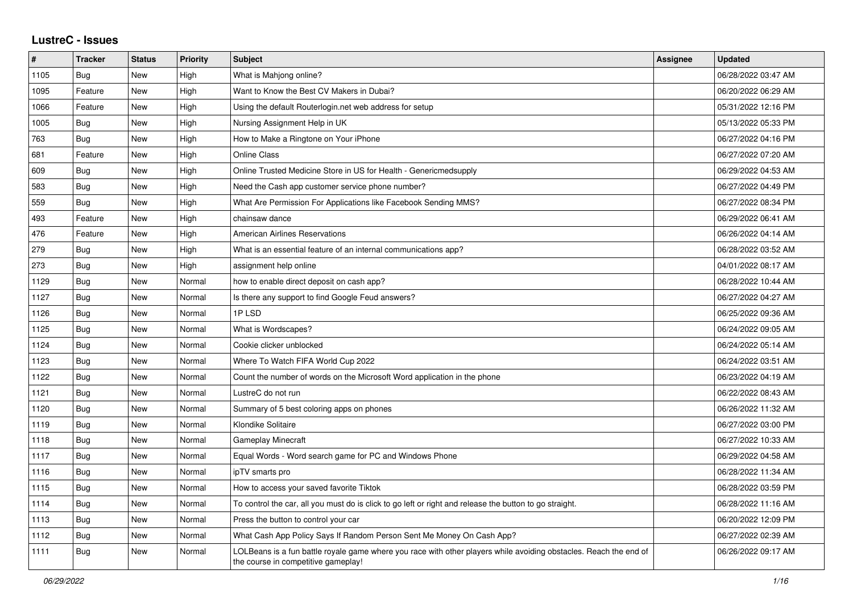## **LustreC - Issues**

| #    | <b>Tracker</b> | <b>Status</b> | <b>Priority</b> | <b>Subject</b>                                                                                                                                           | <b>Assignee</b> | <b>Updated</b>      |
|------|----------------|---------------|-----------------|----------------------------------------------------------------------------------------------------------------------------------------------------------|-----------------|---------------------|
| 1105 | Bug            | <b>New</b>    | High            | What is Mahjong online?                                                                                                                                  |                 | 06/28/2022 03:47 AM |
| 1095 | Feature        | New           | High            | Want to Know the Best CV Makers in Dubai?                                                                                                                |                 | 06/20/2022 06:29 AM |
| 1066 | Feature        | New           | High            | Using the default Routerlogin.net web address for setup                                                                                                  |                 | 05/31/2022 12:16 PM |
| 1005 | <b>Bug</b>     | <b>New</b>    | High            | Nursing Assignment Help in UK                                                                                                                            |                 | 05/13/2022 05:33 PM |
| 763  | <b>Bug</b>     | <b>New</b>    | High            | How to Make a Ringtone on Your iPhone                                                                                                                    |                 | 06/27/2022 04:16 PM |
| 681  | Feature        | <b>New</b>    | High            | <b>Online Class</b>                                                                                                                                      |                 | 06/27/2022 07:20 AM |
| 609  | <b>Bug</b>     | New           | High            | Online Trusted Medicine Store in US for Health - Genericmedsupply                                                                                        |                 | 06/29/2022 04:53 AM |
| 583  | <b>Bug</b>     | New           | High            | Need the Cash app customer service phone number?                                                                                                         |                 | 06/27/2022 04:49 PM |
| 559  | Bug            | <b>New</b>    | High            | What Are Permission For Applications like Facebook Sending MMS?                                                                                          |                 | 06/27/2022 08:34 PM |
| 493  | Feature        | New           | High            | chainsaw dance                                                                                                                                           |                 | 06/29/2022 06:41 AM |
| 476  | Feature        | <b>New</b>    | High            | <b>American Airlines Reservations</b>                                                                                                                    |                 | 06/26/2022 04:14 AM |
| 279  | Bug            | <b>New</b>    | High            | What is an essential feature of an internal communications app?                                                                                          |                 | 06/28/2022 03:52 AM |
| 273  | <b>Bug</b>     | <b>New</b>    | High            | assignment help online                                                                                                                                   |                 | 04/01/2022 08:17 AM |
| 1129 | <b>Bug</b>     | New           | Normal          | how to enable direct deposit on cash app?                                                                                                                |                 | 06/28/2022 10:44 AM |
| 1127 | <b>Bug</b>     | <b>New</b>    | Normal          | Is there any support to find Google Feud answers?                                                                                                        |                 | 06/27/2022 04:27 AM |
| 1126 | Bug            | <b>New</b>    | Normal          | 1PLSD                                                                                                                                                    |                 | 06/25/2022 09:36 AM |
| 1125 | Bug            | New           | Normal          | What is Wordscapes?                                                                                                                                      |                 | 06/24/2022 09:05 AM |
| 1124 | Bug            | <b>New</b>    | Normal          | Cookie clicker unblocked                                                                                                                                 |                 | 06/24/2022 05:14 AM |
| 1123 | Bug            | <b>New</b>    | Normal          | Where To Watch FIFA World Cup 2022                                                                                                                       |                 | 06/24/2022 03:51 AM |
| 1122 | <b>Bug</b>     | <b>New</b>    | Normal          | Count the number of words on the Microsoft Word application in the phone                                                                                 |                 | 06/23/2022 04:19 AM |
| 1121 | <b>Bug</b>     | <b>New</b>    | Normal          | LustreC do not run                                                                                                                                       |                 | 06/22/2022 08:43 AM |
| 1120 | Bug            | <b>New</b>    | Normal          | Summary of 5 best coloring apps on phones                                                                                                                |                 | 06/26/2022 11:32 AM |
| 1119 | <b>Bug</b>     | <b>New</b>    | Normal          | Klondike Solitaire                                                                                                                                       |                 | 06/27/2022 03:00 PM |
| 1118 | <b>Bug</b>     | <b>New</b>    | Normal          | <b>Gameplay Minecraft</b>                                                                                                                                |                 | 06/27/2022 10:33 AM |
| 1117 | Bug            | New           | Normal          | Equal Words - Word search game for PC and Windows Phone                                                                                                  |                 | 06/29/2022 04:58 AM |
| 1116 | <b>Bug</b>     | <b>New</b>    | Normal          | ipTV smarts pro                                                                                                                                          |                 | 06/28/2022 11:34 AM |
| 1115 | <b>Bug</b>     | New           | Normal          | How to access your saved favorite Tiktok                                                                                                                 |                 | 06/28/2022 03:59 PM |
| 1114 | Bug            | New           | Normal          | To control the car, all you must do is click to go left or right and release the button to go straight.                                                  |                 | 06/28/2022 11:16 AM |
| 1113 | <b>Bug</b>     | New           | Normal          | Press the button to control your car                                                                                                                     |                 | 06/20/2022 12:09 PM |
| 1112 | <b>Bug</b>     | New           | Normal          | What Cash App Policy Says If Random Person Sent Me Money On Cash App?                                                                                    |                 | 06/27/2022 02:39 AM |
| 1111 | Bug            | New           | Normal          | LOLBeans is a fun battle royale game where you race with other players while avoiding obstacles. Reach the end of<br>the course in competitive gameplay! |                 | 06/26/2022 09:17 AM |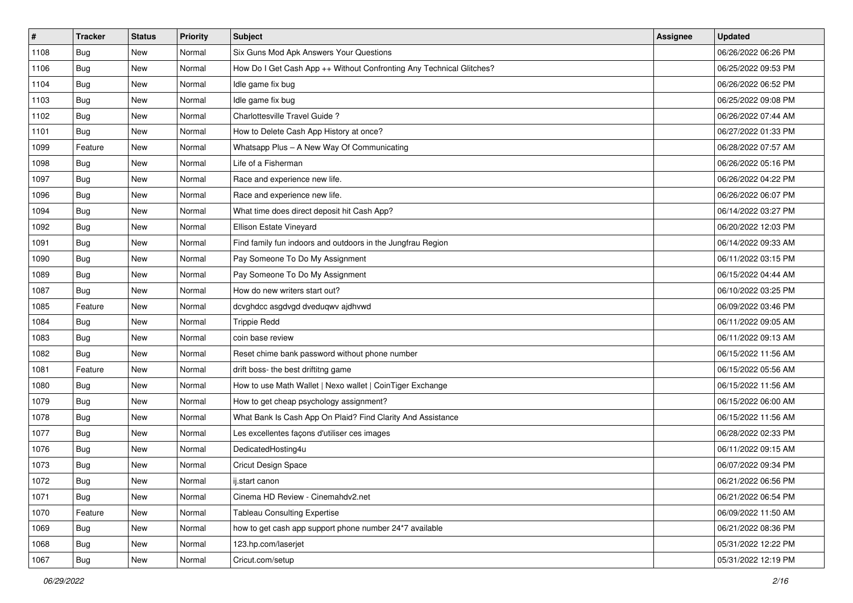| #    | <b>Tracker</b> | <b>Status</b> | <b>Priority</b> | Subject                                                              | <b>Assignee</b> | <b>Updated</b>      |
|------|----------------|---------------|-----------------|----------------------------------------------------------------------|-----------------|---------------------|
| 1108 | <b>Bug</b>     | New           | Normal          | Six Guns Mod Apk Answers Your Questions                              |                 | 06/26/2022 06:26 PM |
| 1106 | Bug            | New           | Normal          | How Do I Get Cash App ++ Without Confronting Any Technical Glitches? |                 | 06/25/2022 09:53 PM |
| 1104 | Bug            | New           | Normal          | Idle game fix bug                                                    |                 | 06/26/2022 06:52 PM |
| 1103 | <b>Bug</b>     | New           | Normal          | Idle game fix bug                                                    |                 | 06/25/2022 09:08 PM |
| 1102 | <b>Bug</b>     | New           | Normal          | Charlottesville Travel Guide?                                        |                 | 06/26/2022 07:44 AM |
| 1101 | <b>Bug</b>     | New           | Normal          | How to Delete Cash App History at once?                              |                 | 06/27/2022 01:33 PM |
| 1099 | Feature        | New           | Normal          | Whatsapp Plus - A New Way Of Communicating                           |                 | 06/28/2022 07:57 AM |
| 1098 | Bug            | New           | Normal          | Life of a Fisherman                                                  |                 | 06/26/2022 05:16 PM |
| 1097 | <b>Bug</b>     | New           | Normal          | Race and experience new life.                                        |                 | 06/26/2022 04:22 PM |
| 1096 | <b>Bug</b>     | New           | Normal          | Race and experience new life.                                        |                 | 06/26/2022 06:07 PM |
| 1094 | <b>Bug</b>     | New           | Normal          | What time does direct deposit hit Cash App?                          |                 | 06/14/2022 03:27 PM |
| 1092 | <b>Bug</b>     | New           | Normal          | Ellison Estate Vineyard                                              |                 | 06/20/2022 12:03 PM |
| 1091 | Bug            | New           | Normal          | Find family fun indoors and outdoors in the Jungfrau Region          |                 | 06/14/2022 09:33 AM |
| 1090 | <b>Bug</b>     | New           | Normal          | Pay Someone To Do My Assignment                                      |                 | 06/11/2022 03:15 PM |
| 1089 | <b>Bug</b>     | New           | Normal          | Pay Someone To Do My Assignment                                      |                 | 06/15/2022 04:44 AM |
| 1087 | <b>Bug</b>     | New           | Normal          | How do new writers start out?                                        |                 | 06/10/2022 03:25 PM |
| 1085 | Feature        | New           | Normal          | dcvghdcc asgdvgd dveduqwv ajdhvwd                                    |                 | 06/09/2022 03:46 PM |
| 1084 | Bug            | New           | Normal          | <b>Trippie Redd</b>                                                  |                 | 06/11/2022 09:05 AM |
| 1083 | <b>Bug</b>     | New           | Normal          | coin base review                                                     |                 | 06/11/2022 09:13 AM |
| 1082 | <b>Bug</b>     | New           | Normal          | Reset chime bank password without phone number                       |                 | 06/15/2022 11:56 AM |
| 1081 | Feature        | New           | Normal          | drift boss- the best driftitng game                                  |                 | 06/15/2022 05:56 AM |
| 1080 | Bug            | New           | Normal          | How to use Math Wallet   Nexo wallet   CoinTiger Exchange            |                 | 06/15/2022 11:56 AM |
| 1079 | <b>Bug</b>     | New           | Normal          | How to get cheap psychology assignment?                              |                 | 06/15/2022 06:00 AM |
| 1078 | <b>Bug</b>     | New           | Normal          | What Bank Is Cash App On Plaid? Find Clarity And Assistance          |                 | 06/15/2022 11:56 AM |
| 1077 | <b>Bug</b>     | New           | Normal          | Les excellentes façons d'utiliser ces images                         |                 | 06/28/2022 02:33 PM |
| 1076 | Bug            | New           | Normal          | DedicatedHosting4u                                                   |                 | 06/11/2022 09:15 AM |
| 1073 | <b>Bug</b>     | New           | Normal          | Cricut Design Space                                                  |                 | 06/07/2022 09:34 PM |
| 1072 | <b>Bug</b>     | New           | Normal          | ij.start canon                                                       |                 | 06/21/2022 06:56 PM |
| 1071 | Bug            | New           | Normal          | Cinema HD Review - Cinemahdv2.net                                    |                 | 06/21/2022 06:54 PM |
| 1070 | Feature        | New           | Normal          | <b>Tableau Consulting Expertise</b>                                  |                 | 06/09/2022 11:50 AM |
| 1069 | Bug            | New           | Normal          | how to get cash app support phone number 24*7 available              |                 | 06/21/2022 08:36 PM |
| 1068 | <b>Bug</b>     | New           | Normal          | 123.hp.com/laserjet                                                  |                 | 05/31/2022 12:22 PM |
| 1067 | <b>Bug</b>     | New           | Normal          | Cricut.com/setup                                                     |                 | 05/31/2022 12:19 PM |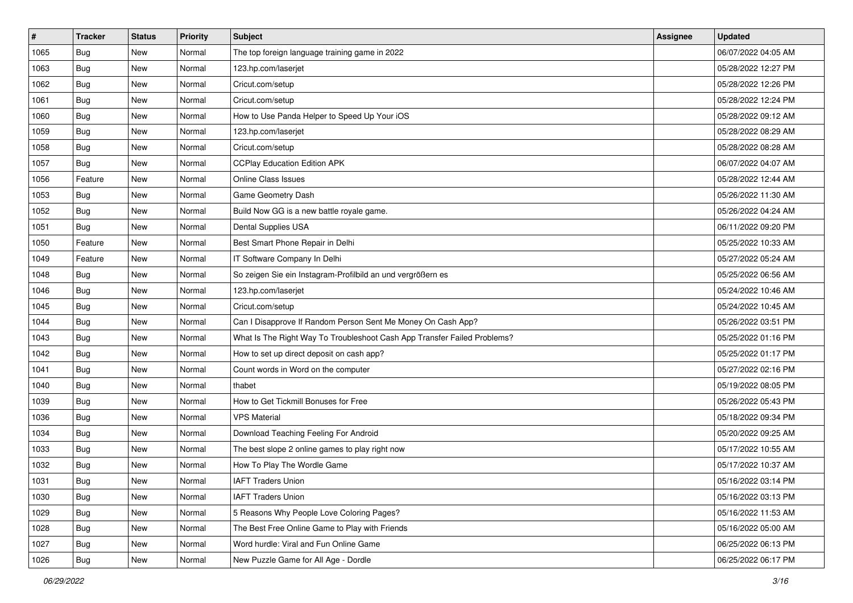| $\vert$ # | <b>Tracker</b> | <b>Status</b> | <b>Priority</b> | Subject                                                                  | <b>Assignee</b> | <b>Updated</b>      |
|-----------|----------------|---------------|-----------------|--------------------------------------------------------------------------|-----------------|---------------------|
| 1065      | <b>Bug</b>     | New           | Normal          | The top foreign language training game in 2022                           |                 | 06/07/2022 04:05 AM |
| 1063      | <b>Bug</b>     | New           | Normal          | 123.hp.com/laserjet                                                      |                 | 05/28/2022 12:27 PM |
| 1062      | Bug            | New           | Normal          | Cricut.com/setup                                                         |                 | 05/28/2022 12:26 PM |
| 1061      | <b>Bug</b>     | New           | Normal          | Cricut.com/setup                                                         |                 | 05/28/2022 12:24 PM |
| 1060      | Bug            | New           | Normal          | How to Use Panda Helper to Speed Up Your iOS                             |                 | 05/28/2022 09:12 AM |
| 1059      | <b>Bug</b>     | New           | Normal          | 123.hp.com/laserjet                                                      |                 | 05/28/2022 08:29 AM |
| 1058      | <b>Bug</b>     | New           | Normal          | Cricut.com/setup                                                         |                 | 05/28/2022 08:28 AM |
| 1057      | <b>Bug</b>     | New           | Normal          | <b>CCPlay Education Edition APK</b>                                      |                 | 06/07/2022 04:07 AM |
| 1056      | Feature        | New           | Normal          | <b>Online Class Issues</b>                                               |                 | 05/28/2022 12:44 AM |
| 1053      | <b>Bug</b>     | New           | Normal          | Game Geometry Dash                                                       |                 | 05/26/2022 11:30 AM |
| 1052      | Bug            | New           | Normal          | Build Now GG is a new battle royale game.                                |                 | 05/26/2022 04:24 AM |
| 1051      | <b>Bug</b>     | New           | Normal          | Dental Supplies USA                                                      |                 | 06/11/2022 09:20 PM |
| 1050      | Feature        | New           | Normal          | Best Smart Phone Repair in Delhi                                         |                 | 05/25/2022 10:33 AM |
| 1049      | Feature        | New           | Normal          | IT Software Company In Delhi                                             |                 | 05/27/2022 05:24 AM |
| 1048      | Bug            | New           | Normal          | So zeigen Sie ein Instagram-Profilbild an und vergrößern es              |                 | 05/25/2022 06:56 AM |
| 1046      | <b>Bug</b>     | New           | Normal          | 123.hp.com/laserjet                                                      |                 | 05/24/2022 10:46 AM |
| 1045      | <b>Bug</b>     | New           | Normal          | Cricut.com/setup                                                         |                 | 05/24/2022 10:45 AM |
| 1044      | Bug            | New           | Normal          | Can I Disapprove If Random Person Sent Me Money On Cash App?             |                 | 05/26/2022 03:51 PM |
| 1043      | <b>Bug</b>     | New           | Normal          | What Is The Right Way To Troubleshoot Cash App Transfer Failed Problems? |                 | 05/25/2022 01:16 PM |
| 1042      | <b>Bug</b>     | New           | Normal          | How to set up direct deposit on cash app?                                |                 | 05/25/2022 01:17 PM |
| 1041      | <b>Bug</b>     | New           | Normal          | Count words in Word on the computer                                      |                 | 05/27/2022 02:16 PM |
| 1040      | <b>Bug</b>     | New           | Normal          | thabet                                                                   |                 | 05/19/2022 08:05 PM |
| 1039      | <b>Bug</b>     | New           | Normal          | How to Get Tickmill Bonuses for Free                                     |                 | 05/26/2022 05:43 PM |
| 1036      | Bug            | New           | Normal          | <b>VPS Material</b>                                                      |                 | 05/18/2022 09:34 PM |
| 1034      | <b>Bug</b>     | New           | Normal          | Download Teaching Feeling For Android                                    |                 | 05/20/2022 09:25 AM |
| 1033      | <b>Bug</b>     | New           | Normal          | The best slope 2 online games to play right now                          |                 | 05/17/2022 10:55 AM |
| 1032      | <b>Bug</b>     | New           | Normal          | How To Play The Wordle Game                                              |                 | 05/17/2022 10:37 AM |
| 1031      | <b>Bug</b>     | New           | Normal          | <b>IAFT Traders Union</b>                                                |                 | 05/16/2022 03:14 PM |
| 1030      | <b>Bug</b>     | New           | Normal          | <b>IAFT Traders Union</b>                                                |                 | 05/16/2022 03:13 PM |
| 1029      | Bug            | New           | Normal          | 5 Reasons Why People Love Coloring Pages?                                |                 | 05/16/2022 11:53 AM |
| 1028      | <b>Bug</b>     | New           | Normal          | The Best Free Online Game to Play with Friends                           |                 | 05/16/2022 05:00 AM |
| 1027      | <b>Bug</b>     | New           | Normal          | Word hurdle: Viral and Fun Online Game                                   |                 | 06/25/2022 06:13 PM |
| 1026      | <b>Bug</b>     | New           | Normal          | New Puzzle Game for All Age - Dordle                                     |                 | 06/25/2022 06:17 PM |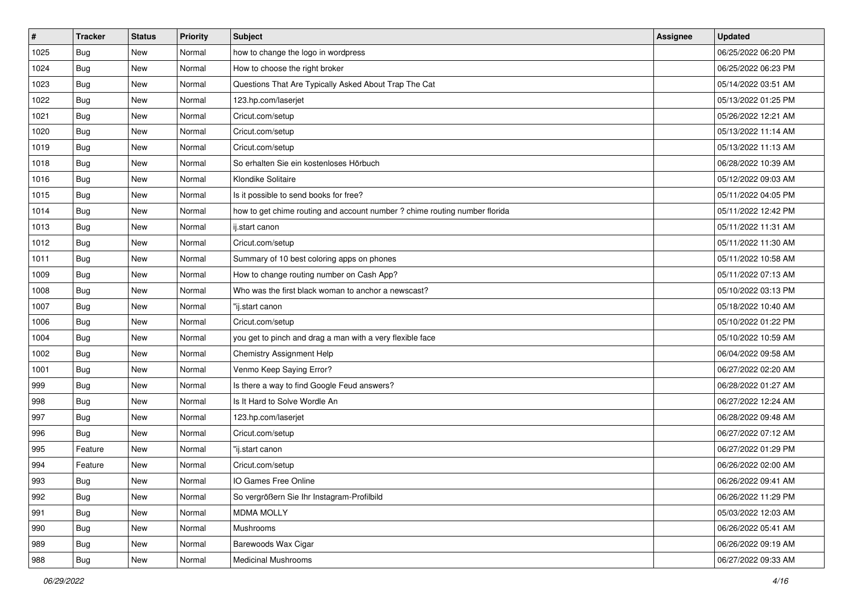| $\sharp$ | <b>Tracker</b> | <b>Status</b> | <b>Priority</b> | Subject                                                                    | <b>Assignee</b> | <b>Updated</b>      |
|----------|----------------|---------------|-----------------|----------------------------------------------------------------------------|-----------------|---------------------|
| 1025     | <b>Bug</b>     | New           | Normal          | how to change the logo in wordpress                                        |                 | 06/25/2022 06:20 PM |
| 1024     | Bug            | New           | Normal          | How to choose the right broker                                             |                 | 06/25/2022 06:23 PM |
| 1023     | <b>Bug</b>     | New           | Normal          | Questions That Are Typically Asked About Trap The Cat                      |                 | 05/14/2022 03:51 AM |
| 1022     | <b>Bug</b>     | <b>New</b>    | Normal          | 123.hp.com/laserjet                                                        |                 | 05/13/2022 01:25 PM |
| 1021     | Bug            | New           | Normal          | Cricut.com/setup                                                           |                 | 05/26/2022 12:21 AM |
| 1020     | <b>Bug</b>     | New           | Normal          | Cricut.com/setup                                                           |                 | 05/13/2022 11:14 AM |
| 1019     | Bug            | New           | Normal          | Cricut.com/setup                                                           |                 | 05/13/2022 11:13 AM |
| 1018     | <b>Bug</b>     | New           | Normal          | So erhalten Sie ein kostenloses Hörbuch                                    |                 | 06/28/2022 10:39 AM |
| 1016     | <b>Bug</b>     | New           | Normal          | Klondike Solitaire                                                         |                 | 05/12/2022 09:03 AM |
| 1015     | Bug            | New           | Normal          | Is it possible to send books for free?                                     |                 | 05/11/2022 04:05 PM |
| 1014     | <b>Bug</b>     | New           | Normal          | how to get chime routing and account number ? chime routing number florida |                 | 05/11/2022 12:42 PM |
| 1013     | <b>Bug</b>     | New           | Normal          | ij.start canon                                                             |                 | 05/11/2022 11:31 AM |
| 1012     | Bug            | New           | Normal          | Cricut.com/setup                                                           |                 | 05/11/2022 11:30 AM |
| 1011     | <b>Bug</b>     | New           | Normal          | Summary of 10 best coloring apps on phones                                 |                 | 05/11/2022 10:58 AM |
| 1009     | <b>Bug</b>     | New           | Normal          | How to change routing number on Cash App?                                  |                 | 05/11/2022 07:13 AM |
| 1008     | <b>Bug</b>     | New           | Normal          | Who was the first black woman to anchor a newscast?                        |                 | 05/10/2022 03:13 PM |
| 1007     | <b>Bug</b>     | <b>New</b>    | Normal          | "ij.start canon                                                            |                 | 05/18/2022 10:40 AM |
| 1006     | Bug            | New           | Normal          | Cricut.com/setup                                                           |                 | 05/10/2022 01:22 PM |
| 1004     | <b>Bug</b>     | New           | Normal          | you get to pinch and drag a man with a very flexible face                  |                 | 05/10/2022 10:59 AM |
| 1002     | <b>Bug</b>     | New           | Normal          | Chemistry Assignment Help                                                  |                 | 06/04/2022 09:58 AM |
| 1001     | <b>Bug</b>     | New           | Normal          | Venmo Keep Saying Error?                                                   |                 | 06/27/2022 02:20 AM |
| 999      | <b>Bug</b>     | New           | Normal          | Is there a way to find Google Feud answers?                                |                 | 06/28/2022 01:27 AM |
| 998      | Bug            | New           | Normal          | Is It Hard to Solve Wordle An                                              |                 | 06/27/2022 12:24 AM |
| 997      | <b>Bug</b>     | New           | Normal          | 123.hp.com/laserjet                                                        |                 | 06/28/2022 09:48 AM |
| 996      | Bug            | New           | Normal          | Cricut.com/setup                                                           |                 | 06/27/2022 07:12 AM |
| 995      | Feature        | New           | Normal          | "ij.start canon                                                            |                 | 06/27/2022 01:29 PM |
| 994      | Feature        | New           | Normal          | Cricut.com/setup                                                           |                 | 06/26/2022 02:00 AM |
| 993      | <b>Bug</b>     | New           | Normal          | IO Games Free Online                                                       |                 | 06/26/2022 09:41 AM |
| 992      | <b>Bug</b>     | New           | Normal          | So vergrößern Sie Ihr Instagram-Profilbild                                 |                 | 06/26/2022 11:29 PM |
| 991      | <b>Bug</b>     | New           | Normal          | <b>MDMA MOLLY</b>                                                          |                 | 05/03/2022 12:03 AM |
| 990      | Bug            | New           | Normal          | Mushrooms                                                                  |                 | 06/26/2022 05:41 AM |
| 989      | <b>Bug</b>     | New           | Normal          | Barewoods Wax Cigar                                                        |                 | 06/26/2022 09:19 AM |
| 988      | <b>Bug</b>     | New           | Normal          | <b>Medicinal Mushrooms</b>                                                 |                 | 06/27/2022 09:33 AM |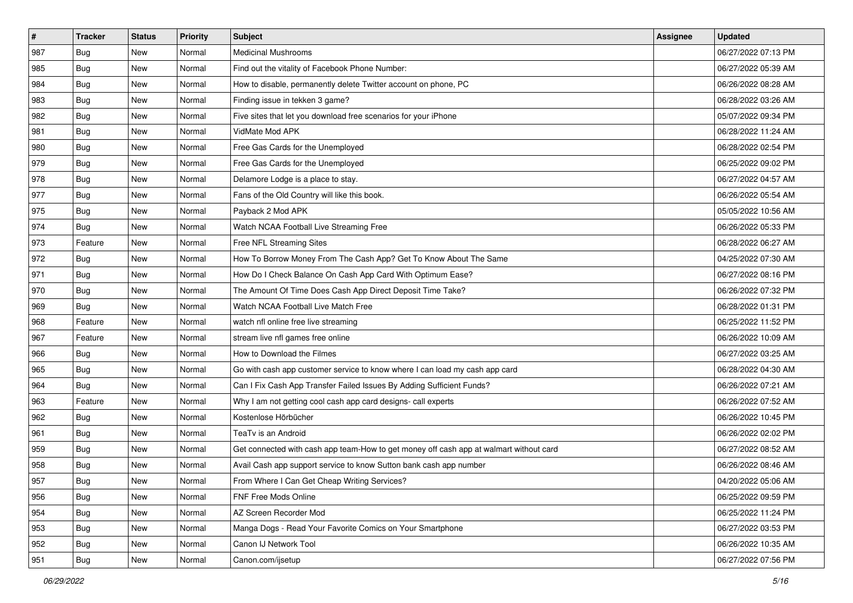| $\sharp$ | <b>Tracker</b> | <b>Status</b> | <b>Priority</b> | Subject                                                                                | <b>Assignee</b> | <b>Updated</b>      |
|----------|----------------|---------------|-----------------|----------------------------------------------------------------------------------------|-----------------|---------------------|
| 987      | <b>Bug</b>     | New           | Normal          | <b>Medicinal Mushrooms</b>                                                             |                 | 06/27/2022 07:13 PM |
| 985      | Bug            | New           | Normal          | Find out the vitality of Facebook Phone Number:                                        |                 | 06/27/2022 05:39 AM |
| 984      | Bug            | New           | Normal          | How to disable, permanently delete Twitter account on phone, PC                        |                 | 06/26/2022 08:28 AM |
| 983      | <b>Bug</b>     | <b>New</b>    | Normal          | Finding issue in tekken 3 game?                                                        |                 | 06/28/2022 03:26 AM |
| 982      | Bug            | New           | Normal          | Five sites that let you download free scenarios for your iPhone                        |                 | 05/07/2022 09:34 PM |
| 981      | <b>Bug</b>     | New           | Normal          | VidMate Mod APK                                                                        |                 | 06/28/2022 11:24 AM |
| 980      | Bug            | New           | Normal          | Free Gas Cards for the Unemployed                                                      |                 | 06/28/2022 02:54 PM |
| 979      | <b>Bug</b>     | New           | Normal          | Free Gas Cards for the Unemployed                                                      |                 | 06/25/2022 09:02 PM |
| 978      | Bug            | New           | Normal          | Delamore Lodge is a place to stay.                                                     |                 | 06/27/2022 04:57 AM |
| 977      | Bug            | New           | Normal          | Fans of the Old Country will like this book.                                           |                 | 06/26/2022 05:54 AM |
| 975      | Bug            | New           | Normal          | Payback 2 Mod APK                                                                      |                 | 05/05/2022 10:56 AM |
| 974      | Bug            | New           | Normal          | Watch NCAA Football Live Streaming Free                                                |                 | 06/26/2022 05:33 PM |
| 973      | Feature        | New           | Normal          | Free NFL Streaming Sites                                                               |                 | 06/28/2022 06:27 AM |
| 972      | <b>Bug</b>     | New           | Normal          | How To Borrow Money From The Cash App? Get To Know About The Same                      |                 | 04/25/2022 07:30 AM |
| 971      | <b>Bug</b>     | New           | Normal          | How Do I Check Balance On Cash App Card With Optimum Ease?                             |                 | 06/27/2022 08:16 PM |
| 970      | Bug            | New           | Normal          | The Amount Of Time Does Cash App Direct Deposit Time Take?                             |                 | 06/26/2022 07:32 PM |
| 969      | <b>Bug</b>     | <b>New</b>    | Normal          | Watch NCAA Football Live Match Free                                                    |                 | 06/28/2022 01:31 PM |
| 968      | Feature        | New           | Normal          | watch nfl online free live streaming                                                   |                 | 06/25/2022 11:52 PM |
| 967      | Feature        | New           | Normal          | stream live nfl games free online                                                      |                 | 06/26/2022 10:09 AM |
| 966      | Bug            | New           | Normal          | How to Download the Filmes                                                             |                 | 06/27/2022 03:25 AM |
| 965      | Bug            | New           | Normal          | Go with cash app customer service to know where I can load my cash app card            |                 | 06/28/2022 04:30 AM |
| 964      | Bug            | New           | Normal          | Can I Fix Cash App Transfer Failed Issues By Adding Sufficient Funds?                  |                 | 06/26/2022 07:21 AM |
| 963      | Feature        | New           | Normal          | Why I am not getting cool cash app card designs- call experts                          |                 | 06/26/2022 07:52 AM |
| 962      | Bug            | New           | Normal          | Kostenlose Hörbücher                                                                   |                 | 06/26/2022 10:45 PM |
| 961      | <b>Bug</b>     | New           | Normal          | TeaTv is an Android                                                                    |                 | 06/26/2022 02:02 PM |
| 959      | Bug            | <b>New</b>    | Normal          | Get connected with cash app team-How to get money off cash app at walmart without card |                 | 06/27/2022 08:52 AM |
| 958      | <b>Bug</b>     | New           | Normal          | Avail Cash app support service to know Sutton bank cash app number                     |                 | 06/26/2022 08:46 AM |
| 957      | <b>Bug</b>     | New           | Normal          | From Where I Can Get Cheap Writing Services?                                           |                 | 04/20/2022 05:06 AM |
| 956      | Bug            | New           | Normal          | FNF Free Mods Online                                                                   |                 | 06/25/2022 09:59 PM |
| 954      | <b>Bug</b>     | New           | Normal          | AZ Screen Recorder Mod                                                                 |                 | 06/25/2022 11:24 PM |
| 953      | Bug            | New           | Normal          | Manga Dogs - Read Your Favorite Comics on Your Smartphone                              |                 | 06/27/2022 03:53 PM |
| 952      | <b>Bug</b>     | New           | Normal          | Canon IJ Network Tool                                                                  |                 | 06/26/2022 10:35 AM |
| 951      | <b>Bug</b>     | New           | Normal          | Canon.com/ijsetup                                                                      |                 | 06/27/2022 07:56 PM |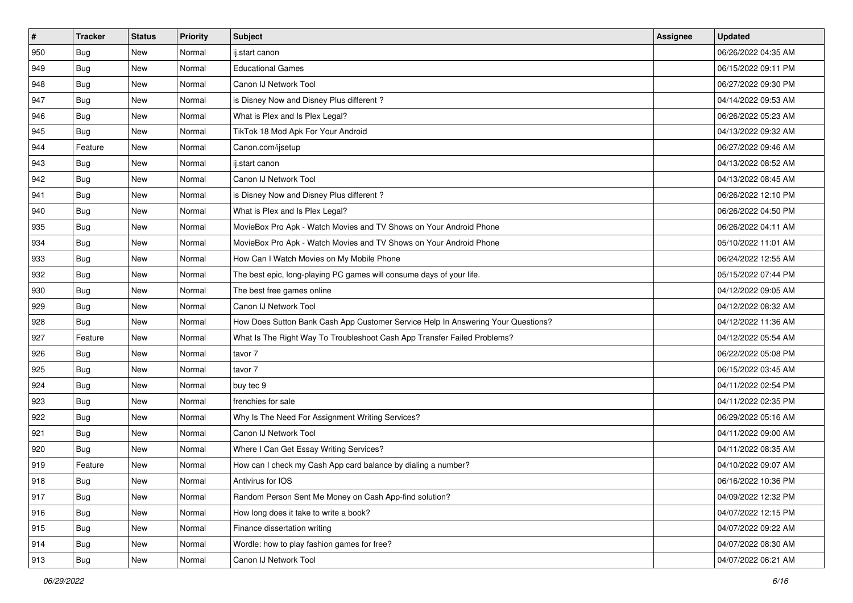| $\sharp$ | <b>Tracker</b> | <b>Status</b> | <b>Priority</b> | Subject                                                                          | <b>Assignee</b> | <b>Updated</b>      |
|----------|----------------|---------------|-----------------|----------------------------------------------------------------------------------|-----------------|---------------------|
| 950      | <b>Bug</b>     | New           | Normal          | ij.start canon                                                                   |                 | 06/26/2022 04:35 AM |
| 949      | Bug            | New           | Normal          | <b>Educational Games</b>                                                         |                 | 06/15/2022 09:11 PM |
| 948      | Bug            | New           | Normal          | Canon IJ Network Tool                                                            |                 | 06/27/2022 09:30 PM |
| 947      | Bug            | New           | Normal          | is Disney Now and Disney Plus different?                                         |                 | 04/14/2022 09:53 AM |
| 946      | Bug            | New           | Normal          | What is Plex and Is Plex Legal?                                                  |                 | 06/26/2022 05:23 AM |
| 945      | <b>Bug</b>     | New           | Normal          | TikTok 18 Mod Apk For Your Android                                               |                 | 04/13/2022 09:32 AM |
| 944      | Feature        | New           | Normal          | Canon.com/ijsetup                                                                |                 | 06/27/2022 09:46 AM |
| 943      | <b>Bug</b>     | New           | Normal          | ij.start canon                                                                   |                 | 04/13/2022 08:52 AM |
| 942      | Bug            | New           | Normal          | Canon IJ Network Tool                                                            |                 | 04/13/2022 08:45 AM |
| 941      | Bug            | New           | Normal          | is Disney Now and Disney Plus different?                                         |                 | 06/26/2022 12:10 PM |
| 940      | <b>Bug</b>     | New           | Normal          | What is Plex and Is Plex Legal?                                                  |                 | 06/26/2022 04:50 PM |
| 935      | <b>Bug</b>     | New           | Normal          | MovieBox Pro Apk - Watch Movies and TV Shows on Your Android Phone               |                 | 06/26/2022 04:11 AM |
| 934      | Bug            | New           | Normal          | MovieBox Pro Apk - Watch Movies and TV Shows on Your Android Phone               |                 | 05/10/2022 11:01 AM |
| 933      | Bug            | New           | Normal          | How Can I Watch Movies on My Mobile Phone                                        |                 | 06/24/2022 12:55 AM |
| 932      | Bug            | New           | Normal          | The best epic, long-playing PC games will consume days of your life.             |                 | 05/15/2022 07:44 PM |
| 930      | Bug            | New           | Normal          | The best free games online                                                       |                 | 04/12/2022 09:05 AM |
| 929      | Bug            | New           | Normal          | Canon IJ Network Tool                                                            |                 | 04/12/2022 08:32 AM |
| 928      | Bug            | New           | Normal          | How Does Sutton Bank Cash App Customer Service Help In Answering Your Questions? |                 | 04/12/2022 11:36 AM |
| 927      | Feature        | New           | Normal          | What Is The Right Way To Troubleshoot Cash App Transfer Failed Problems?         |                 | 04/12/2022 05:54 AM |
| 926      | Bug            | New           | Normal          | tavor 7                                                                          |                 | 06/22/2022 05:08 PM |
| 925      | Bug            | New           | Normal          | tavor 7                                                                          |                 | 06/15/2022 03:45 AM |
| 924      | Bug            | <b>New</b>    | Normal          | buy tec 9                                                                        |                 | 04/11/2022 02:54 PM |
| 923      | Bug            | New           | Normal          | frenchies for sale                                                               |                 | 04/11/2022 02:35 PM |
| 922      | <b>Bug</b>     | New           | Normal          | Why Is The Need For Assignment Writing Services?                                 |                 | 06/29/2022 05:16 AM |
| 921      | Bug            | New           | Normal          | Canon IJ Network Tool                                                            |                 | 04/11/2022 09:00 AM |
| 920      | Bug            | New           | Normal          | Where I Can Get Essay Writing Services?                                          |                 | 04/11/2022 08:35 AM |
| 919      | Feature        | New           | Normal          | How can I check my Cash App card balance by dialing a number?                    |                 | 04/10/2022 09:07 AM |
| 918      | I Bug          | New           | Normal          | Antivirus for IOS                                                                |                 | 06/16/2022 10:36 PM |
| 917      | <b>Bug</b>     | New           | Normal          | Random Person Sent Me Money on Cash App-find solution?                           |                 | 04/09/2022 12:32 PM |
| 916      | Bug            | New           | Normal          | How long does it take to write a book?                                           |                 | 04/07/2022 12:15 PM |
| 915      | <b>Bug</b>     | New           | Normal          | Finance dissertation writing                                                     |                 | 04/07/2022 09:22 AM |
| 914      | <b>Bug</b>     | New           | Normal          | Wordle: how to play fashion games for free?                                      |                 | 04/07/2022 08:30 AM |
| 913      | <b>Bug</b>     | New           | Normal          | Canon IJ Network Tool                                                            |                 | 04/07/2022 06:21 AM |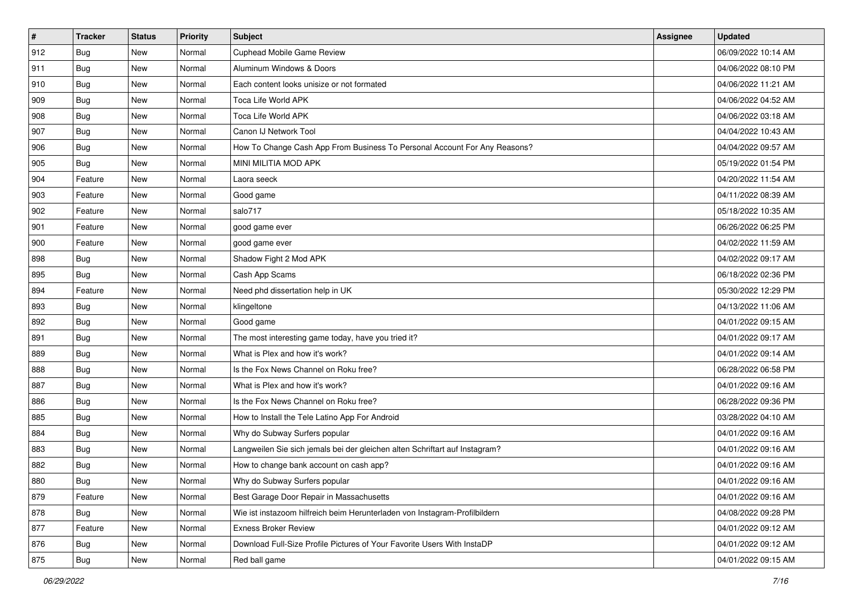| $\vert$ # | <b>Tracker</b> | <b>Status</b> | <b>Priority</b> | Subject                                                                     | <b>Assignee</b> | <b>Updated</b>      |
|-----------|----------------|---------------|-----------------|-----------------------------------------------------------------------------|-----------------|---------------------|
| 912       | <b>Bug</b>     | New           | Normal          | Cuphead Mobile Game Review                                                  |                 | 06/09/2022 10:14 AM |
| 911       | Bug            | New           | Normal          | Aluminum Windows & Doors                                                    |                 | 04/06/2022 08:10 PM |
| 910       | Bug            | New           | Normal          | Each content looks unisize or not formated                                  |                 | 04/06/2022 11:21 AM |
| 909       | <b>Bug</b>     | <b>New</b>    | Normal          | Toca Life World APK                                                         |                 | 04/06/2022 04:52 AM |
| 908       | <b>Bug</b>     | New           | Normal          | Toca Life World APK                                                         |                 | 04/06/2022 03:18 AM |
| 907       | <b>Bug</b>     | New           | Normal          | Canon IJ Network Tool                                                       |                 | 04/04/2022 10:43 AM |
| 906       | Bug            | New           | Normal          | How To Change Cash App From Business To Personal Account For Any Reasons?   |                 | 04/04/2022 09:57 AM |
| 905       | <b>Bug</b>     | New           | Normal          | MINI MILITIA MOD APK                                                        |                 | 05/19/2022 01:54 PM |
| 904       | Feature        | New           | Normal          | Laora seeck                                                                 |                 | 04/20/2022 11:54 AM |
| 903       | Feature        | New           | Normal          | Good game                                                                   |                 | 04/11/2022 08:39 AM |
| 902       | Feature        | New           | Normal          | salo717                                                                     |                 | 05/18/2022 10:35 AM |
| 901       | Feature        | New           | Normal          | good game ever                                                              |                 | 06/26/2022 06:25 PM |
| 900       | Feature        | New           | Normal          | good game ever                                                              |                 | 04/02/2022 11:59 AM |
| 898       | Bug            | New           | Normal          | Shadow Fight 2 Mod APK                                                      |                 | 04/02/2022 09:17 AM |
| 895       | <b>Bug</b>     | New           | Normal          | Cash App Scams                                                              |                 | 06/18/2022 02:36 PM |
| 894       | Feature        | New           | Normal          | Need phd dissertation help in UK                                            |                 | 05/30/2022 12:29 PM |
| 893       | <b>Bug</b>     | New           | Normal          | klingeltone                                                                 |                 | 04/13/2022 11:06 AM |
| 892       | Bug            | New           | Normal          | Good game                                                                   |                 | 04/01/2022 09:15 AM |
| 891       | <b>Bug</b>     | New           | Normal          | The most interesting game today, have you tried it?                         |                 | 04/01/2022 09:17 AM |
| 889       | <b>Bug</b>     | New           | Normal          | What is Plex and how it's work?                                             |                 | 04/01/2022 09:14 AM |
| 888       | <b>Bug</b>     | New           | Normal          | Is the Fox News Channel on Roku free?                                       |                 | 06/28/2022 06:58 PM |
| 887       | Bug            | New           | Normal          | What is Plex and how it's work?                                             |                 | 04/01/2022 09:16 AM |
| 886       | Bug            | New           | Normal          | Is the Fox News Channel on Roku free?                                       |                 | 06/28/2022 09:36 PM |
| 885       | <b>Bug</b>     | New           | Normal          | How to Install the Tele Latino App For Android                              |                 | 03/28/2022 04:10 AM |
| 884       | <b>Bug</b>     | New           | Normal          | Why do Subway Surfers popular                                               |                 | 04/01/2022 09:16 AM |
| 883       | Bug            | New           | Normal          | Langweilen Sie sich jemals bei der gleichen alten Schriftart auf Instagram? |                 | 04/01/2022 09:16 AM |
| 882       | <b>Bug</b>     | New           | Normal          | How to change bank account on cash app?                                     |                 | 04/01/2022 09:16 AM |
| 880       | <b>Bug</b>     | New           | Normal          | Why do Subway Surfers popular                                               |                 | 04/01/2022 09:16 AM |
| 879       | Feature        | New           | Normal          | Best Garage Door Repair in Massachusetts                                    |                 | 04/01/2022 09:16 AM |
| 878       | <b>Bug</b>     | New           | Normal          | Wie ist instazoom hilfreich beim Herunterladen von Instagram-Profilbildern  |                 | 04/08/2022 09:28 PM |
| 877       | Feature        | New           | Normal          | <b>Exness Broker Review</b>                                                 |                 | 04/01/2022 09:12 AM |
| 876       | <b>Bug</b>     | New           | Normal          | Download Full-Size Profile Pictures of Your Favorite Users With InstaDP     |                 | 04/01/2022 09:12 AM |
| 875       | <b>Bug</b>     | New           | Normal          | Red ball game                                                               |                 | 04/01/2022 09:15 AM |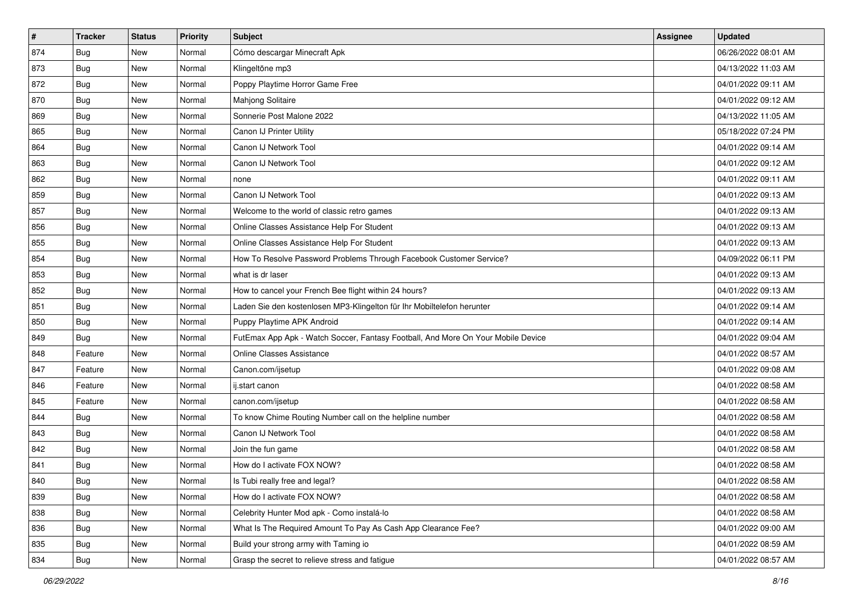| $\sharp$ | <b>Tracker</b> | <b>Status</b> | <b>Priority</b> | <b>Subject</b>                                                                   | <b>Assignee</b> | <b>Updated</b>      |
|----------|----------------|---------------|-----------------|----------------------------------------------------------------------------------|-----------------|---------------------|
| 874      | <b>Bug</b>     | New           | Normal          | Cómo descargar Minecraft Apk                                                     |                 | 06/26/2022 08:01 AM |
| 873      | Bug            | New           | Normal          | Klingeltöne mp3                                                                  |                 | 04/13/2022 11:03 AM |
| 872      | Bug            | New           | Normal          | Poppy Playtime Horror Game Free                                                  |                 | 04/01/2022 09:11 AM |
| 870      | <b>Bug</b>     | New           | Normal          | Mahjong Solitaire                                                                |                 | 04/01/2022 09:12 AM |
| 869      | Bug            | New           | Normal          | Sonnerie Post Malone 2022                                                        |                 | 04/13/2022 11:05 AM |
| 865      | Bug            | New           | Normal          | Canon IJ Printer Utility                                                         |                 | 05/18/2022 07:24 PM |
| 864      | Bug            | New           | Normal          | Canon IJ Network Tool                                                            |                 | 04/01/2022 09:14 AM |
| 863      | <b>Bug</b>     | New           | Normal          | Canon IJ Network Tool                                                            |                 | 04/01/2022 09:12 AM |
| 862      | Bug            | New           | Normal          | none                                                                             |                 | 04/01/2022 09:11 AM |
| 859      | Bug            | New           | Normal          | Canon IJ Network Tool                                                            |                 | 04/01/2022 09:13 AM |
| 857      | <b>Bug</b>     | New           | Normal          | Welcome to the world of classic retro games                                      |                 | 04/01/2022 09:13 AM |
| 856      | <b>Bug</b>     | New           | Normal          | Online Classes Assistance Help For Student                                       |                 | 04/01/2022 09:13 AM |
| 855      | Bug            | <b>New</b>    | Normal          | Online Classes Assistance Help For Student                                       |                 | 04/01/2022 09:13 AM |
| 854      | Bug            | New           | Normal          | How To Resolve Password Problems Through Facebook Customer Service?              |                 | 04/09/2022 06:11 PM |
| 853      | Bug            | New           | Normal          | what is dr laser                                                                 |                 | 04/01/2022 09:13 AM |
| 852      | Bug            | New           | Normal          | How to cancel your French Bee flight within 24 hours?                            |                 | 04/01/2022 09:13 AM |
| 851      | Bug            | New           | Normal          | Laden Sie den kostenlosen MP3-Klingelton für Ihr Mobiltelefon herunter           |                 | 04/01/2022 09:14 AM |
| 850      | Bug            | <b>New</b>    | Normal          | Puppy Playtime APK Android                                                       |                 | 04/01/2022 09:14 AM |
| 849      | Bug            | New           | Normal          | FutEmax App Apk - Watch Soccer, Fantasy Football, And More On Your Mobile Device |                 | 04/01/2022 09:04 AM |
| 848      | Feature        | New           | Normal          | Online Classes Assistance                                                        |                 | 04/01/2022 08:57 AM |
| 847      | Feature        | New           | Normal          | Canon.com/ijsetup                                                                |                 | 04/01/2022 09:08 AM |
| 846      | Feature        | New           | Normal          | ij.start canon                                                                   |                 | 04/01/2022 08:58 AM |
| 845      | Feature        | New           | Normal          | canon.com/ijsetup                                                                |                 | 04/01/2022 08:58 AM |
| 844      | <b>Bug</b>     | New           | Normal          | To know Chime Routing Number call on the helpline number                         |                 | 04/01/2022 08:58 AM |
| 843      | Bug            | New           | Normal          | Canon IJ Network Tool                                                            |                 | 04/01/2022 08:58 AM |
| 842      | Bug            | New           | Normal          | Join the fun game                                                                |                 | 04/01/2022 08:58 AM |
| 841      | <b>Bug</b>     | New           | Normal          | How do I activate FOX NOW?                                                       |                 | 04/01/2022 08:58 AM |
| 840      | Bug            | New           | Normal          | Is Tubi really free and legal?                                                   |                 | 04/01/2022 08:58 AM |
| 839      | <b>Bug</b>     | New           | Normal          | How do I activate FOX NOW?                                                       |                 | 04/01/2022 08:58 AM |
| 838      | <b>Bug</b>     | New           | Normal          | Celebrity Hunter Mod apk - Como instalá-lo                                       |                 | 04/01/2022 08:58 AM |
| 836      | <b>Bug</b>     | New           | Normal          | What Is The Required Amount To Pay As Cash App Clearance Fee?                    |                 | 04/01/2022 09:00 AM |
| 835      | <b>Bug</b>     | New           | Normal          | Build your strong army with Taming io                                            |                 | 04/01/2022 08:59 AM |
| 834      | <b>Bug</b>     | New           | Normal          | Grasp the secret to relieve stress and fatigue                                   |                 | 04/01/2022 08:57 AM |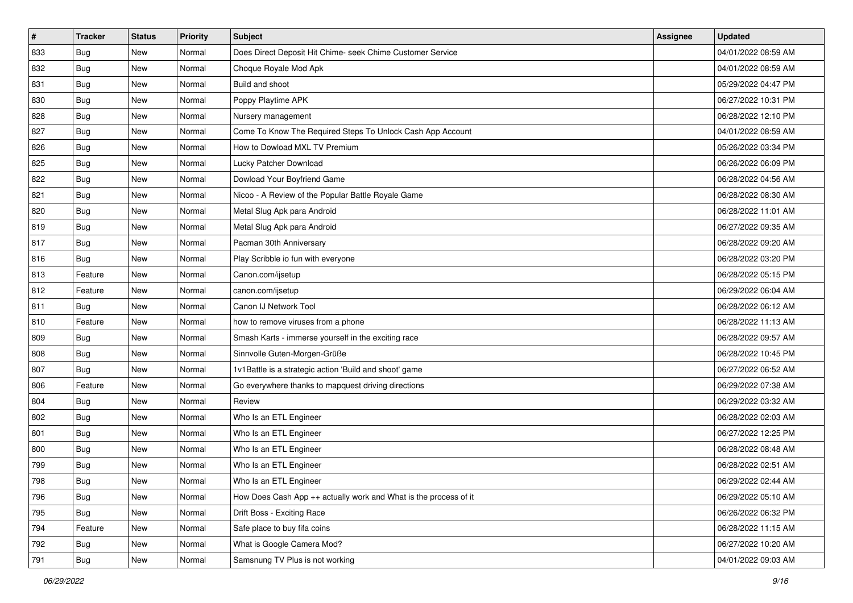| $\sharp$ | <b>Tracker</b> | <b>Status</b> | <b>Priority</b> | Subject                                                            | <b>Assignee</b> | <b>Updated</b>      |
|----------|----------------|---------------|-----------------|--------------------------------------------------------------------|-----------------|---------------------|
| 833      | <b>Bug</b>     | New           | Normal          | Does Direct Deposit Hit Chime- seek Chime Customer Service         |                 | 04/01/2022 08:59 AM |
| 832      | Bug            | New           | Normal          | Choque Royale Mod Apk                                              |                 | 04/01/2022 08:59 AM |
| 831      | Bug            | New           | Normal          | Build and shoot                                                    |                 | 05/29/2022 04:47 PM |
| 830      | <b>Bug</b>     | <b>New</b>    | Normal          | Poppy Playtime APK                                                 |                 | 06/27/2022 10:31 PM |
| 828      | <b>Bug</b>     | New           | Normal          | Nursery management                                                 |                 | 06/28/2022 12:10 PM |
| 827      | <b>Bug</b>     | New           | Normal          | Come To Know The Required Steps To Unlock Cash App Account         |                 | 04/01/2022 08:59 AM |
| 826      | Bug            | New           | Normal          | How to Dowload MXL TV Premium                                      |                 | 05/26/2022 03:34 PM |
| 825      | <b>Bug</b>     | New           | Normal          | Lucky Patcher Download                                             |                 | 06/26/2022 06:09 PM |
| 822      | Bug            | New           | Normal          | Dowload Your Boyfriend Game                                        |                 | 06/28/2022 04:56 AM |
| 821      | <b>Bug</b>     | New           | Normal          | Nicoo - A Review of the Popular Battle Royale Game                 |                 | 06/28/2022 08:30 AM |
| 820      | Bug            | New           | Normal          | Metal Slug Apk para Android                                        |                 | 06/28/2022 11:01 AM |
| 819      | <b>Bug</b>     | New           | Normal          | Metal Slug Apk para Android                                        |                 | 06/27/2022 09:35 AM |
| 817      | Bug            | <b>New</b>    | Normal          | Pacman 30th Anniversary                                            |                 | 06/28/2022 09:20 AM |
| 816      | <b>Bug</b>     | New           | Normal          | Play Scribble io fun with everyone                                 |                 | 06/28/2022 03:20 PM |
| 813      | Feature        | New           | Normal          | Canon.com/ijsetup                                                  |                 | 06/28/2022 05:15 PM |
| 812      | Feature        | New           | Normal          | canon.com/ijsetup                                                  |                 | 06/29/2022 06:04 AM |
| 811      | <b>Bug</b>     | New           | Normal          | Canon IJ Network Tool                                              |                 | 06/28/2022 06:12 AM |
| 810      | Feature        | New           | Normal          | how to remove viruses from a phone                                 |                 | 06/28/2022 11:13 AM |
| 809      | <b>Bug</b>     | New           | Normal          | Smash Karts - immerse yourself in the exciting race                |                 | 06/28/2022 09:57 AM |
| 808      | Bug            | New           | Normal          | Sinnvolle Guten-Morgen-Grüße                                       |                 | 06/28/2022 10:45 PM |
| 807      | <b>Bug</b>     | New           | Normal          | 1v1Battle is a strategic action 'Build and shoot' game             |                 | 06/27/2022 06:52 AM |
| 806      | Feature        | New           | Normal          | Go everywhere thanks to mapquest driving directions                |                 | 06/29/2022 07:38 AM |
| 804      | Bug            | New           | Normal          | Review                                                             |                 | 06/29/2022 03:32 AM |
| 802      | <b>Bug</b>     | New           | Normal          | Who Is an ETL Engineer                                             |                 | 06/28/2022 02:03 AM |
| 801      | Bug            | New           | Normal          | Who Is an ETL Engineer                                             |                 | 06/27/2022 12:25 PM |
| 800      | Bug            | <b>New</b>    | Normal          | Who Is an ETL Engineer                                             |                 | 06/28/2022 08:48 AM |
| 799      | <b>Bug</b>     | New           | Normal          | Who Is an ETL Engineer                                             |                 | 06/28/2022 02:51 AM |
| 798      | <b>Bug</b>     | New           | Normal          | Who Is an ETL Engineer                                             |                 | 06/29/2022 02:44 AM |
| 796      | Bug            | New           | Normal          | How Does Cash App $++$ actually work and What is the process of it |                 | 06/29/2022 05:10 AM |
| 795      | <b>Bug</b>     | New           | Normal          | Drift Boss - Exciting Race                                         |                 | 06/26/2022 06:32 PM |
| 794      | Feature        | New           | Normal          | Safe place to buy fifa coins                                       |                 | 06/28/2022 11:15 AM |
| 792      | <b>Bug</b>     | New           | Normal          | What is Google Camera Mod?                                         |                 | 06/27/2022 10:20 AM |
| 791      | <b>Bug</b>     | New           | Normal          | Samsnung TV Plus is not working                                    |                 | 04/01/2022 09:03 AM |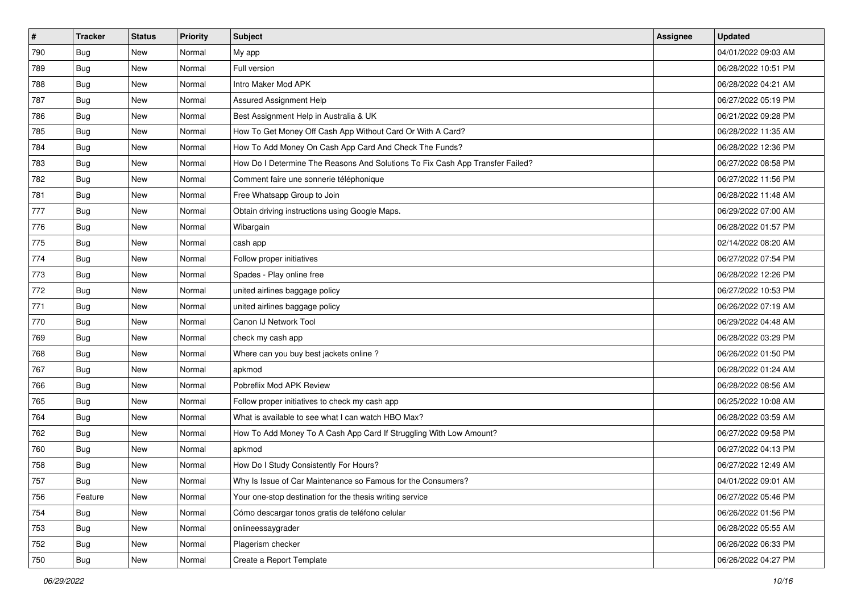| $\vert$ # | <b>Tracker</b> | <b>Status</b> | <b>Priority</b> | <b>Subject</b>                                                                | <b>Assignee</b> | <b>Updated</b>      |
|-----------|----------------|---------------|-----------------|-------------------------------------------------------------------------------|-----------------|---------------------|
| 790       | <b>Bug</b>     | New           | Normal          | My app                                                                        |                 | 04/01/2022 09:03 AM |
| 789       | <b>Bug</b>     | New           | Normal          | Full version                                                                  |                 | 06/28/2022 10:51 PM |
| 788       | Bug            | New           | Normal          | Intro Maker Mod APK                                                           |                 | 06/28/2022 04:21 AM |
| 787       | <b>Bug</b>     | New           | Normal          | Assured Assignment Help                                                       |                 | 06/27/2022 05:19 PM |
| 786       | Bug            | New           | Normal          | Best Assignment Help in Australia & UK                                        |                 | 06/21/2022 09:28 PM |
| 785       | <b>Bug</b>     | New           | Normal          | How To Get Money Off Cash App Without Card Or With A Card?                    |                 | 06/28/2022 11:35 AM |
| 784       | <b>Bug</b>     | New           | Normal          | How To Add Money On Cash App Card And Check The Funds?                        |                 | 06/28/2022 12:36 PM |
| 783       | Bug            | New           | Normal          | How Do I Determine The Reasons And Solutions To Fix Cash App Transfer Failed? |                 | 06/27/2022 08:58 PM |
| 782       | <b>Bug</b>     | New           | Normal          | Comment faire une sonnerie téléphonique                                       |                 | 06/27/2022 11:56 PM |
| 781       | Bug            | New           | Normal          | Free Whatsapp Group to Join                                                   |                 | 06/28/2022 11:48 AM |
| 777       | <b>Bug</b>     | New           | Normal          | Obtain driving instructions using Google Maps.                                |                 | 06/29/2022 07:00 AM |
| 776       | <b>Bug</b>     | New           | Normal          | Wibargain                                                                     |                 | 06/28/2022 01:57 PM |
| 775       | Bug            | New           | Normal          | cash app                                                                      |                 | 02/14/2022 08:20 AM |
| 774       | Bug            | New           | Normal          | Follow proper initiatives                                                     |                 | 06/27/2022 07:54 PM |
| 773       | <b>Bug</b>     | New           | Normal          | Spades - Play online free                                                     |                 | 06/28/2022 12:26 PM |
| 772       | <b>Bug</b>     | New           | Normal          | united airlines baggage policy                                                |                 | 06/27/2022 10:53 PM |
| 771       | <b>Bug</b>     | New           | Normal          | united airlines baggage policy                                                |                 | 06/26/2022 07:19 AM |
| 770       | <b>Bug</b>     | New           | Normal          | Canon IJ Network Tool                                                         |                 | 06/29/2022 04:48 AM |
| 769       | <b>Bug</b>     | New           | Normal          | check my cash app                                                             |                 | 06/28/2022 03:29 PM |
| 768       | <b>Bug</b>     | New           | Normal          | Where can you buy best jackets online?                                        |                 | 06/26/2022 01:50 PM |
| 767       | <b>Bug</b>     | New           | Normal          | apkmod                                                                        |                 | 06/28/2022 01:24 AM |
| 766       | <b>Bug</b>     | New           | Normal          | Pobreflix Mod APK Review                                                      |                 | 06/28/2022 08:56 AM |
| 765       | <b>Bug</b>     | New           | Normal          | Follow proper initiatives to check my cash app                                |                 | 06/25/2022 10:08 AM |
| 764       | <b>Bug</b>     | New           | Normal          | What is available to see what I can watch HBO Max?                            |                 | 06/28/2022 03:59 AM |
| 762       | <b>Bug</b>     | New           | Normal          | How To Add Money To A Cash App Card If Struggling With Low Amount?            |                 | 06/27/2022 09:58 PM |
| 760       | Bug            | New           | Normal          | apkmod                                                                        |                 | 06/27/2022 04:13 PM |
| 758       | <b>Bug</b>     | New           | Normal          | How Do I Study Consistently For Hours?                                        |                 | 06/27/2022 12:49 AM |
| 757       | I Bug          | New           | Normal          | Why Is Issue of Car Maintenance so Famous for the Consumers?                  |                 | 04/01/2022 09:01 AM |
| 756       | Feature        | New           | Normal          | Your one-stop destination for the thesis writing service                      |                 | 06/27/2022 05:46 PM |
| 754       | <b>Bug</b>     | New           | Normal          | Cómo descargar tonos gratis de teléfono celular                               |                 | 06/26/2022 01:56 PM |
| 753       | <b>Bug</b>     | New           | Normal          | onlineessaygrader                                                             |                 | 06/28/2022 05:55 AM |
| 752       | <b>Bug</b>     | New           | Normal          | Plagerism checker                                                             |                 | 06/26/2022 06:33 PM |
| 750       | Bug            | New           | Normal          | Create a Report Template                                                      |                 | 06/26/2022 04:27 PM |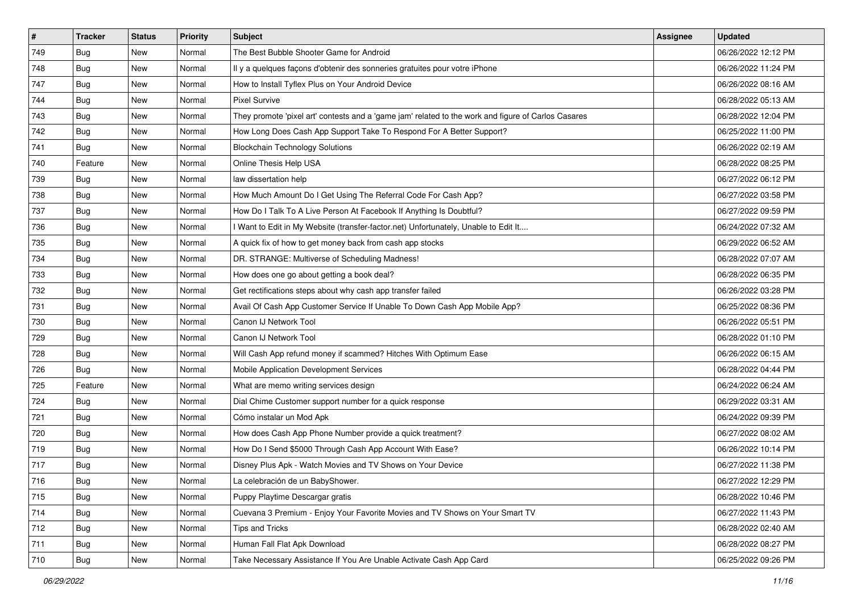| $\sharp$ | <b>Tracker</b> | <b>Status</b> | Priority | <b>Subject</b>                                                                                      | Assignee | <b>Updated</b>      |
|----------|----------------|---------------|----------|-----------------------------------------------------------------------------------------------------|----------|---------------------|
| 749      | <b>Bug</b>     | New           | Normal   | The Best Bubble Shooter Game for Android                                                            |          | 06/26/2022 12:12 PM |
| 748      | <b>Bug</b>     | New           | Normal   | Il y a quelques façons d'obtenir des sonneries gratuites pour votre iPhone                          |          | 06/26/2022 11:24 PM |
| 747      | <b>Bug</b>     | New           | Normal   | How to Install Tyflex Plus on Your Android Device                                                   |          | 06/26/2022 08:16 AM |
| 744      | Bug            | New           | Normal   | <b>Pixel Survive</b>                                                                                |          | 06/28/2022 05:13 AM |
| 743      | Bug            | New           | Normal   | They promote 'pixel art' contests and a 'game jam' related to the work and figure of Carlos Casares |          | 06/28/2022 12:04 PM |
| 742      | Bug            | New           | Normal   | How Long Does Cash App Support Take To Respond For A Better Support?                                |          | 06/25/2022 11:00 PM |
| 741      | Bug            | New           | Normal   | <b>Blockchain Technology Solutions</b>                                                              |          | 06/26/2022 02:19 AM |
| 740      | Feature        | New           | Normal   | Online Thesis Help USA                                                                              |          | 06/28/2022 08:25 PM |
| 739      | <b>Bug</b>     | New           | Normal   | law dissertation help                                                                               |          | 06/27/2022 06:12 PM |
| 738      | Bug            | New           | Normal   | How Much Amount Do I Get Using The Referral Code For Cash App?                                      |          | 06/27/2022 03:58 PM |
| 737      | <b>Bug</b>     | New           | Normal   | How Do I Talk To A Live Person At Facebook If Anything Is Doubtful?                                 |          | 06/27/2022 09:59 PM |
| 736      | Bug            | New           | Normal   | I Want to Edit in My Website (transfer-factor.net) Unfortunately, Unable to Edit It                 |          | 06/24/2022 07:32 AM |
| 735      | Bug            | New           | Normal   | A quick fix of how to get money back from cash app stocks                                           |          | 06/29/2022 06:52 AM |
| 734      | Bug            | New           | Normal   | DR. STRANGE: Multiverse of Scheduling Madness!                                                      |          | 06/28/2022 07:07 AM |
| 733      | <b>Bug</b>     | New           | Normal   | How does one go about getting a book deal?                                                          |          | 06/28/2022 06:35 PM |
| 732      | Bug            | New           | Normal   | Get rectifications steps about why cash app transfer failed                                         |          | 06/26/2022 03:28 PM |
| 731      | <b>Bug</b>     | New           | Normal   | Avail Of Cash App Customer Service If Unable To Down Cash App Mobile App?                           |          | 06/25/2022 08:36 PM |
| 730      | Bug            | New           | Normal   | Canon IJ Network Tool                                                                               |          | 06/26/2022 05:51 PM |
| 729      | Bug            | New           | Normal   | Canon IJ Network Tool                                                                               |          | 06/28/2022 01:10 PM |
| 728      | <b>Bug</b>     | New           | Normal   | Will Cash App refund money if scammed? Hitches With Optimum Ease                                    |          | 06/26/2022 06:15 AM |
| 726      | Bug            | New           | Normal   | Mobile Application Development Services                                                             |          | 06/28/2022 04:44 PM |
| 725      | Feature        | New           | Normal   | What are memo writing services design                                                               |          | 06/24/2022 06:24 AM |
| 724      | Bug            | New           | Normal   | Dial Chime Customer support number for a quick response                                             |          | 06/29/2022 03:31 AM |
| 721      | <b>Bug</b>     | New           | Normal   | Cómo instalar un Mod Apk                                                                            |          | 06/24/2022 09:39 PM |
| 720      | Bug            | New           | Normal   | How does Cash App Phone Number provide a quick treatment?                                           |          | 06/27/2022 08:02 AM |
| 719      | Bug            | New           | Normal   | How Do I Send \$5000 Through Cash App Account With Ease?                                            |          | 06/26/2022 10:14 PM |
| 717      | <b>Bug</b>     | New           | Normal   | Disney Plus Apk - Watch Movies and TV Shows on Your Device                                          |          | 06/27/2022 11:38 PM |
| 716      | Bug            | New           | Normal   | La celebración de un BabyShower.                                                                    |          | 06/27/2022 12:29 PM |
| 715      | <b>Bug</b>     | New           | Normal   | Puppy Playtime Descargar gratis                                                                     |          | 06/28/2022 10:46 PM |
| 714      | Bug            | New           | Normal   | Cuevana 3 Premium - Enjoy Your Favorite Movies and TV Shows on Your Smart TV                        |          | 06/27/2022 11:43 PM |
| 712      | Bug            | New           | Normal   | <b>Tips and Tricks</b>                                                                              |          | 06/28/2022 02:40 AM |
| 711      | Bug            | New           | Normal   | Human Fall Flat Apk Download                                                                        |          | 06/28/2022 08:27 PM |
| 710      | <b>Bug</b>     | New           | Normal   | Take Necessary Assistance If You Are Unable Activate Cash App Card                                  |          | 06/25/2022 09:26 PM |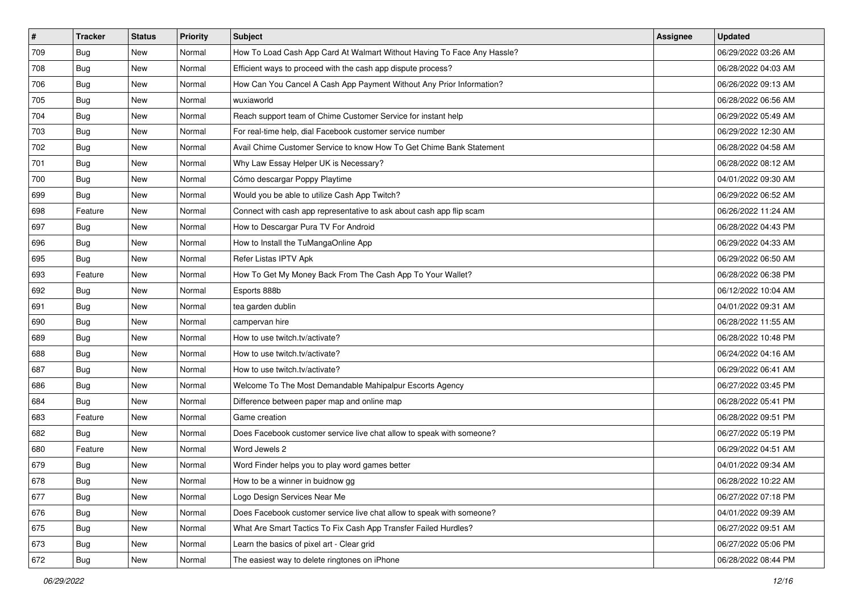| #   | <b>Tracker</b> | <b>Status</b> | <b>Priority</b> | Subject                                                                 | <b>Assignee</b> | <b>Updated</b>      |
|-----|----------------|---------------|-----------------|-------------------------------------------------------------------------|-----------------|---------------------|
| 709 | <b>Bug</b>     | New           | Normal          | How To Load Cash App Card At Walmart Without Having To Face Any Hassle? |                 | 06/29/2022 03:26 AM |
| 708 | Bug            | New           | Normal          | Efficient ways to proceed with the cash app dispute process?            |                 | 06/28/2022 04:03 AM |
| 706 | <b>Bug</b>     | New           | Normal          | How Can You Cancel A Cash App Payment Without Any Prior Information?    |                 | 06/26/2022 09:13 AM |
| 705 | <b>Bug</b>     | New           | Normal          | wuxiaworld                                                              |                 | 06/28/2022 06:56 AM |
| 704 | Bug            | New           | Normal          | Reach support team of Chime Customer Service for instant help           |                 | 06/29/2022 05:49 AM |
| 703 | Bug            | New           | Normal          | For real-time help, dial Facebook customer service number               |                 | 06/29/2022 12:30 AM |
| 702 | <b>Bug</b>     | New           | Normal          | Avail Chime Customer Service to know How To Get Chime Bank Statement    |                 | 06/28/2022 04:58 AM |
| 701 | Bug            | New           | Normal          | Why Law Essay Helper UK is Necessary?                                   |                 | 06/28/2022 08:12 AM |
| 700 | Bug            | New           | Normal          | Cómo descargar Poppy Playtime                                           |                 | 04/01/2022 09:30 AM |
| 699 | <b>Bug</b>     | New           | Normal          | Would you be able to utilize Cash App Twitch?                           |                 | 06/29/2022 06:52 AM |
| 698 | Feature        | New           | Normal          | Connect with cash app representative to ask about cash app flip scam    |                 | 06/26/2022 11:24 AM |
| 697 | Bug            | New           | Normal          | How to Descargar Pura TV For Android                                    |                 | 06/28/2022 04:43 PM |
| 696 | Bug            | New           | Normal          | How to Install the TuMangaOnline App                                    |                 | 06/29/2022 04:33 AM |
| 695 | <b>Bug</b>     | New           | Normal          | Refer Listas IPTV Apk                                                   |                 | 06/29/2022 06:50 AM |
| 693 | Feature        | New           | Normal          | How To Get My Money Back From The Cash App To Your Wallet?              |                 | 06/28/2022 06:38 PM |
| 692 | <b>Bug</b>     | New           | Normal          | Esports 888b                                                            |                 | 06/12/2022 10:04 AM |
| 691 | <b>Bug</b>     | New           | Normal          | tea garden dublin                                                       |                 | 04/01/2022 09:31 AM |
| 690 | Bug            | New           | Normal          | campervan hire                                                          |                 | 06/28/2022 11:55 AM |
| 689 | <b>Bug</b>     | New           | Normal          | How to use twitch.tv/activate?                                          |                 | 06/28/2022 10:48 PM |
| 688 | <b>Bug</b>     | New           | Normal          | How to use twitch.tv/activate?                                          |                 | 06/24/2022 04:16 AM |
| 687 | <b>Bug</b>     | New           | Normal          | How to use twitch.tv/activate?                                          |                 | 06/29/2022 06:41 AM |
| 686 | Bug            | New           | Normal          | Welcome To The Most Demandable Mahipalpur Escorts Agency                |                 | 06/27/2022 03:45 PM |
| 684 | Bug            | New           | Normal          | Difference between paper map and online map                             |                 | 06/28/2022 05:41 PM |
| 683 | Feature        | New           | Normal          | Game creation                                                           |                 | 06/28/2022 09:51 PM |
| 682 | <b>Bug</b>     | New           | Normal          | Does Facebook customer service live chat allow to speak with someone?   |                 | 06/27/2022 05:19 PM |
| 680 | Feature        | New           | Normal          | Word Jewels 2                                                           |                 | 06/29/2022 04:51 AM |
| 679 | <b>Bug</b>     | New           | Normal          | Word Finder helps you to play word games better                         |                 | 04/01/2022 09:34 AM |
| 678 | Bug            | New           | Normal          | How to be a winner in buidnow gg                                        |                 | 06/28/2022 10:22 AM |
| 677 | <b>Bug</b>     | New           | Normal          | Logo Design Services Near Me                                            |                 | 06/27/2022 07:18 PM |
| 676 | <b>Bug</b>     | New           | Normal          | Does Facebook customer service live chat allow to speak with someone?   |                 | 04/01/2022 09:39 AM |
| 675 | <b>Bug</b>     | New           | Normal          | What Are Smart Tactics To Fix Cash App Transfer Failed Hurdles?         |                 | 06/27/2022 09:51 AM |
| 673 | <b>Bug</b>     | New           | Normal          | Learn the basics of pixel art - Clear grid                              |                 | 06/27/2022 05:06 PM |
| 672 | <b>Bug</b>     | New           | Normal          | The easiest way to delete ringtones on iPhone                           |                 | 06/28/2022 08:44 PM |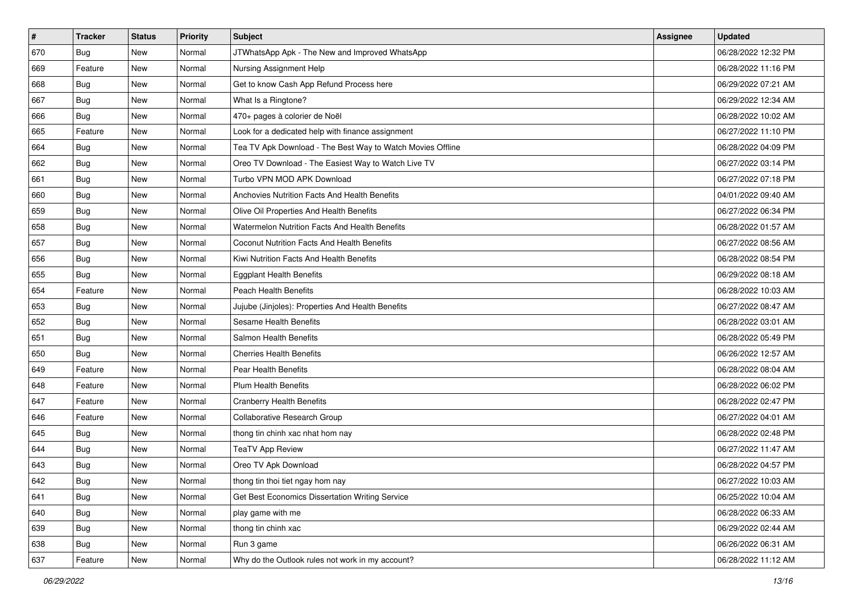| $\sharp$ | <b>Tracker</b> | <b>Status</b> | <b>Priority</b> | <b>Subject</b>                                             | <b>Assignee</b> | <b>Updated</b>      |
|----------|----------------|---------------|-----------------|------------------------------------------------------------|-----------------|---------------------|
| 670      | <b>Bug</b>     | New           | Normal          | JTWhatsApp Apk - The New and Improved WhatsApp             |                 | 06/28/2022 12:32 PM |
| 669      | Feature        | New           | Normal          | Nursing Assignment Help                                    |                 | 06/28/2022 11:16 PM |
| 668      | Bug            | New           | Normal          | Get to know Cash App Refund Process here                   |                 | 06/29/2022 07:21 AM |
| 667      | <b>Bug</b>     | New           | Normal          | What Is a Ringtone?                                        |                 | 06/29/2022 12:34 AM |
| 666      | Bug            | New           | Normal          | 470+ pages à colorier de Noël                              |                 | 06/28/2022 10:02 AM |
| 665      | Feature        | New           | Normal          | Look for a dedicated help with finance assignment          |                 | 06/27/2022 11:10 PM |
| 664      | <b>Bug</b>     | New           | Normal          | Tea TV Apk Download - The Best Way to Watch Movies Offline |                 | 06/28/2022 04:09 PM |
| 662      | Bug            | New           | Normal          | Oreo TV Download - The Easiest Way to Watch Live TV        |                 | 06/27/2022 03:14 PM |
| 661      | Bug            | New           | Normal          | Turbo VPN MOD APK Download                                 |                 | 06/27/2022 07:18 PM |
| 660      | Bug            | New           | Normal          | Anchovies Nutrition Facts And Health Benefits              |                 | 04/01/2022 09:40 AM |
| 659      | <b>Bug</b>     | New           | Normal          | Olive Oil Properties And Health Benefits                   |                 | 06/27/2022 06:34 PM |
| 658      | <b>Bug</b>     | New           | Normal          | Watermelon Nutrition Facts And Health Benefits             |                 | 06/28/2022 01:57 AM |
| 657      | Bug            | New           | Normal          | <b>Coconut Nutrition Facts And Health Benefits</b>         |                 | 06/27/2022 08:56 AM |
| 656      | Bug            | New           | Normal          | Kiwi Nutrition Facts And Health Benefits                   |                 | 06/28/2022 08:54 PM |
| 655      | <b>Bug</b>     | New           | Normal          | <b>Eggplant Health Benefits</b>                            |                 | 06/29/2022 08:18 AM |
| 654      | Feature        | New           | Normal          | Peach Health Benefits                                      |                 | 06/28/2022 10:03 AM |
| 653      | <b>Bug</b>     | New           | Normal          | Jujube (Jinjoles): Properties And Health Benefits          |                 | 06/27/2022 08:47 AM |
| 652      | Bug            | New           | Normal          | Sesame Health Benefits                                     |                 | 06/28/2022 03:01 AM |
| 651      | <b>Bug</b>     | New           | Normal          | Salmon Health Benefits                                     |                 | 06/28/2022 05:49 PM |
| 650      | <b>Bug</b>     | New           | Normal          | <b>Cherries Health Benefits</b>                            |                 | 06/26/2022 12:57 AM |
| 649      | Feature        | New           | Normal          | Pear Health Benefits                                       |                 | 06/28/2022 08:04 AM |
| 648      | Feature        | New           | Normal          | <b>Plum Health Benefits</b>                                |                 | 06/28/2022 06:02 PM |
| 647      | Feature        | New           | Normal          | Cranberry Health Benefits                                  |                 | 06/28/2022 02:47 PM |
| 646      | Feature        | New           | Normal          | Collaborative Research Group                               |                 | 06/27/2022 04:01 AM |
| 645      | Bug            | New           | Normal          | thong tin chinh xac nhat hom nay                           |                 | 06/28/2022 02:48 PM |
| 644      | <b>Bug</b>     | New           | Normal          | <b>TeaTV App Review</b>                                    |                 | 06/27/2022 11:47 AM |
| 643      | <b>Bug</b>     | New           | Normal          | Oreo TV Apk Download                                       |                 | 06/28/2022 04:57 PM |
| 642      | Bug            | New           | Normal          | thong tin thoi tiet ngay hom nay                           |                 | 06/27/2022 10:03 AM |
| 641      | <b>Bug</b>     | New           | Normal          | Get Best Economics Dissertation Writing Service            |                 | 06/25/2022 10:04 AM |
| 640      | <b>Bug</b>     | New           | Normal          | play game with me                                          |                 | 06/28/2022 06:33 AM |
| 639      | <b>Bug</b>     | New           | Normal          | thong tin chinh xac                                        |                 | 06/29/2022 02:44 AM |
| 638      | <b>Bug</b>     | New           | Normal          | Run 3 game                                                 |                 | 06/26/2022 06:31 AM |
| 637      | Feature        | New           | Normal          | Why do the Outlook rules not work in my account?           |                 | 06/28/2022 11:12 AM |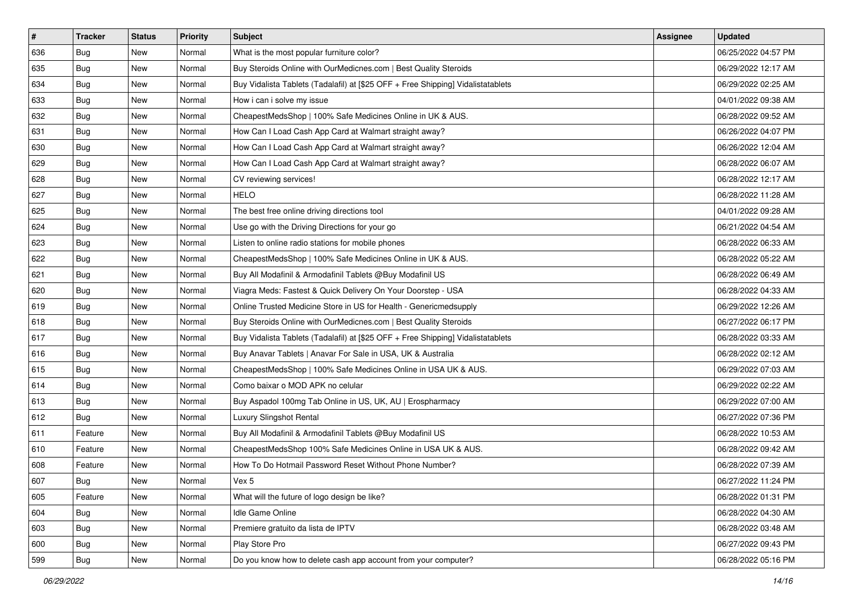| $\vert$ # | <b>Tracker</b> | <b>Status</b> | <b>Priority</b> | <b>Subject</b>                                                                   | <b>Assignee</b> | <b>Updated</b>      |
|-----------|----------------|---------------|-----------------|----------------------------------------------------------------------------------|-----------------|---------------------|
| 636       | <b>Bug</b>     | New           | Normal          | What is the most popular furniture color?                                        |                 | 06/25/2022 04:57 PM |
| 635       | <b>Bug</b>     | New           | Normal          | Buy Steroids Online with OurMedicnes.com   Best Quality Steroids                 |                 | 06/29/2022 12:17 AM |
| 634       | <b>Bug</b>     | New           | Normal          | Buy Vidalista Tablets (Tadalafil) at [\$25 OFF + Free Shipping] Vidalistatablets |                 | 06/29/2022 02:25 AM |
| 633       | Bug            | New           | Normal          | How i can i solve my issue                                                       |                 | 04/01/2022 09:38 AM |
| 632       | <b>Bug</b>     | New           | Normal          | CheapestMedsShop   100% Safe Medicines Online in UK & AUS.                       |                 | 06/28/2022 09:52 AM |
| 631       | Bug            | New           | Normal          | How Can I Load Cash App Card at Walmart straight away?                           |                 | 06/26/2022 04:07 PM |
| 630       | <b>Bug</b>     | New           | Normal          | How Can I Load Cash App Card at Walmart straight away?                           |                 | 06/26/2022 12:04 AM |
| 629       | <b>Bug</b>     | New           | Normal          | How Can I Load Cash App Card at Walmart straight away?                           |                 | 06/28/2022 06:07 AM |
| 628       | <b>Bug</b>     | New           | Normal          | CV reviewing services!                                                           |                 | 06/28/2022 12:17 AM |
| 627       | Bug            | New           | Normal          | <b>HELO</b>                                                                      |                 | 06/28/2022 11:28 AM |
| 625       | <b>Bug</b>     | New           | Normal          | The best free online driving directions tool                                     |                 | 04/01/2022 09:28 AM |
| 624       | Bug            | New           | Normal          | Use go with the Driving Directions for your go                                   |                 | 06/21/2022 04:54 AM |
| 623       | <b>Bug</b>     | New           | Normal          | Listen to online radio stations for mobile phones                                |                 | 06/28/2022 06:33 AM |
| 622       | <b>Bug</b>     | New           | Normal          | CheapestMedsShop   100% Safe Medicines Online in UK & AUS.                       |                 | 06/28/2022 05:22 AM |
| 621       | <b>Bug</b>     | New           | Normal          | Buy All Modafinil & Armodafinil Tablets @Buy Modafinil US                        |                 | 06/28/2022 06:49 AM |
| 620       | <b>Bug</b>     | New           | Normal          | Viagra Meds: Fastest & Quick Delivery On Your Doorstep - USA                     |                 | 06/28/2022 04:33 AM |
| 619       | <b>Bug</b>     | New           | Normal          | Online Trusted Medicine Store in US for Health - Genericmedsupply                |                 | 06/29/2022 12:26 AM |
| 618       | Bug            | New           | Normal          | Buy Steroids Online with OurMedicnes.com   Best Quality Steroids                 |                 | 06/27/2022 06:17 PM |
| 617       | Bug            | New           | Normal          | Buy Vidalista Tablets (Tadalafil) at [\$25 OFF + Free Shipping] Vidalistatablets |                 | 06/28/2022 03:33 AM |
| 616       | Bug            | New           | Normal          | Buy Anavar Tablets   Anavar For Sale in USA, UK & Australia                      |                 | 06/28/2022 02:12 AM |
| 615       | Bug            | New           | Normal          | CheapestMedsShop   100% Safe Medicines Online in USA UK & AUS.                   |                 | 06/29/2022 07:03 AM |
| 614       | Bug            | New           | Normal          | Como baixar o MOD APK no celular                                                 |                 | 06/29/2022 02:22 AM |
| 613       | <b>Bug</b>     | New           | Normal          | Buy Aspadol 100mg Tab Online in US, UK, AU   Erospharmacy                        |                 | 06/29/2022 07:00 AM |
| 612       | <b>Bug</b>     | New           | Normal          | Luxury Slingshot Rental                                                          |                 | 06/27/2022 07:36 PM |
| 611       | Feature        | New           | Normal          | Buy All Modafinil & Armodafinil Tablets @Buy Modafinil US                        |                 | 06/28/2022 10:53 AM |
| 610       | Feature        | New           | Normal          | CheapestMedsShop 100% Safe Medicines Online in USA UK & AUS.                     |                 | 06/28/2022 09:42 AM |
| 608       | Feature        | New           | Normal          | How To Do Hotmail Password Reset Without Phone Number?                           |                 | 06/28/2022 07:39 AM |
| 607       | Bug            | New           | Normal          | Vex 5                                                                            |                 | 06/27/2022 11:24 PM |
| 605       | Feature        | New           | Normal          | What will the future of logo design be like?                                     |                 | 06/28/2022 01:31 PM |
| 604       | <b>Bug</b>     | New           | Normal          | Idle Game Online                                                                 |                 | 06/28/2022 04:30 AM |
| 603       | Bug            | New           | Normal          | Premiere gratuito da lista de IPTV                                               |                 | 06/28/2022 03:48 AM |
| 600       | <b>Bug</b>     | New           | Normal          | Play Store Pro                                                                   |                 | 06/27/2022 09:43 PM |
| 599       | <b>Bug</b>     | New           | Normal          | Do you know how to delete cash app account from your computer?                   |                 | 06/28/2022 05:16 PM |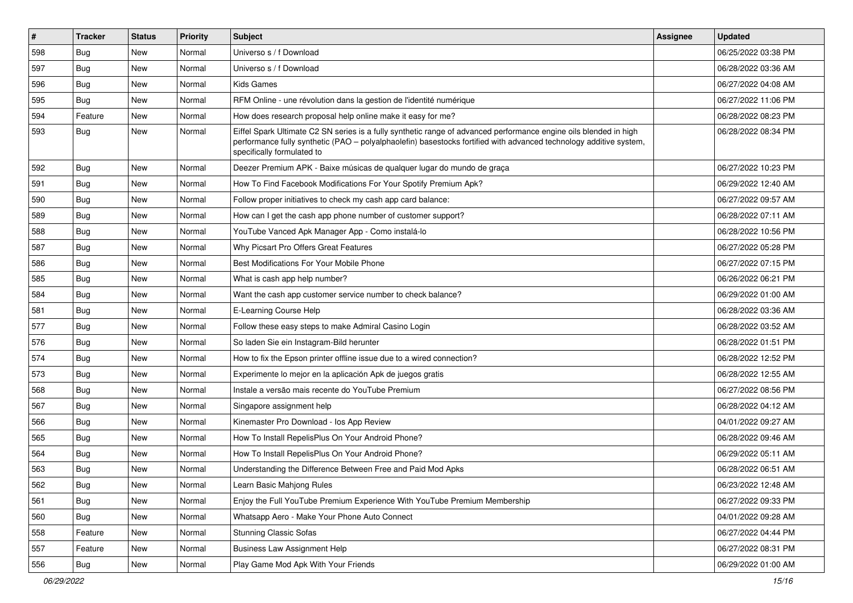| #   | <b>Tracker</b> | <b>Status</b> | <b>Priority</b> | <b>Subject</b>                                                                                                                                                                                                                                                        | Assignee | <b>Updated</b>      |
|-----|----------------|---------------|-----------------|-----------------------------------------------------------------------------------------------------------------------------------------------------------------------------------------------------------------------------------------------------------------------|----------|---------------------|
| 598 | Bug            | New           | Normal          | Universo s / f Download                                                                                                                                                                                                                                               |          | 06/25/2022 03:38 PM |
| 597 | Bug            | <b>New</b>    | Normal          | Universo s / f Download                                                                                                                                                                                                                                               |          | 06/28/2022 03:36 AM |
| 596 | Bug            | New           | Normal          | <b>Kids Games</b>                                                                                                                                                                                                                                                     |          | 06/27/2022 04:08 AM |
| 595 | Bug            | <b>New</b>    | Normal          | RFM Online - une révolution dans la gestion de l'identité numérique                                                                                                                                                                                                   |          | 06/27/2022 11:06 PM |
| 594 | Feature        | New           | Normal          | How does research proposal help online make it easy for me?                                                                                                                                                                                                           |          | 06/28/2022 08:23 PM |
| 593 | <b>Bug</b>     | <b>New</b>    | Normal          | Eiffel Spark Ultimate C2 SN series is a fully synthetic range of advanced performance engine oils blended in high<br>performance fully synthetic (PAO - polyalphaolefin) basestocks fortified with advanced technology additive system,<br>specifically formulated to |          | 06/28/2022 08:34 PM |
| 592 | <b>Bug</b>     | New           | Normal          | Deezer Premium APK - Baixe músicas de qualquer lugar do mundo de graça                                                                                                                                                                                                |          | 06/27/2022 10:23 PM |
| 591 | <b>Bug</b>     | <b>New</b>    | Normal          | How To Find Facebook Modifications For Your Spotify Premium Apk?                                                                                                                                                                                                      |          | 06/29/2022 12:40 AM |
| 590 | Bug            | New           | Normal          | Follow proper initiatives to check my cash app card balance:                                                                                                                                                                                                          |          | 06/27/2022 09:57 AM |
| 589 | <b>Bug</b>     | <b>New</b>    | Normal          | How can I get the cash app phone number of customer support?                                                                                                                                                                                                          |          | 06/28/2022 07:11 AM |
| 588 | Bug            | New           | Normal          | YouTube Vanced Apk Manager App - Como instalá-lo                                                                                                                                                                                                                      |          | 06/28/2022 10:56 PM |
| 587 | <b>Bug</b>     | <b>New</b>    | Normal          | Why Picsart Pro Offers Great Features                                                                                                                                                                                                                                 |          | 06/27/2022 05:28 PM |
| 586 | Bug            | New           | Normal          | Best Modifications For Your Mobile Phone                                                                                                                                                                                                                              |          | 06/27/2022 07:15 PM |
| 585 | Bug            | <b>New</b>    | Normal          | What is cash app help number?                                                                                                                                                                                                                                         |          | 06/26/2022 06:21 PM |
| 584 | Bug            | New           | Normal          | Want the cash app customer service number to check balance?                                                                                                                                                                                                           |          | 06/29/2022 01:00 AM |
| 581 | <b>Bug</b>     | New           | Normal          | E-Learning Course Help                                                                                                                                                                                                                                                |          | 06/28/2022 03:36 AM |
| 577 | Bug            | <b>New</b>    | Normal          | Follow these easy steps to make Admiral Casino Login                                                                                                                                                                                                                  |          | 06/28/2022 03:52 AM |
| 576 | Bug            | New           | Normal          | So laden Sie ein Instagram-Bild herunter                                                                                                                                                                                                                              |          | 06/28/2022 01:51 PM |
| 574 | Bug            | <b>New</b>    | Normal          | How to fix the Epson printer offline issue due to a wired connection?                                                                                                                                                                                                 |          | 06/28/2022 12:52 PM |
| 573 | Bug            | New           | Normal          | Experimente lo mejor en la aplicación Apk de juegos gratis                                                                                                                                                                                                            |          | 06/28/2022 12:55 AM |
| 568 | <b>Bug</b>     | <b>New</b>    | Normal          | Instale a versão mais recente do YouTube Premium                                                                                                                                                                                                                      |          | 06/27/2022 08:56 PM |
| 567 | Bug            | New           | Normal          | Singapore assignment help                                                                                                                                                                                                                                             |          | 06/28/2022 04:12 AM |
| 566 | Bug            | New           | Normal          | Kinemaster Pro Download - los App Review                                                                                                                                                                                                                              |          | 04/01/2022 09:27 AM |
| 565 | Bug            | New           | Normal          | How To Install RepelisPlus On Your Android Phone?                                                                                                                                                                                                                     |          | 06/28/2022 09:46 AM |
| 564 | <b>Bug</b>     | New           | Normal          | How To Install RepelisPlus On Your Android Phone?                                                                                                                                                                                                                     |          | 06/29/2022 05:11 AM |
| 563 | <b>Bug</b>     | <b>New</b>    | Normal          | Understanding the Difference Between Free and Paid Mod Apks                                                                                                                                                                                                           |          | 06/28/2022 06:51 AM |
| 562 | Bug            | New           | Normal          | Learn Basic Mahjong Rules                                                                                                                                                                                                                                             |          | 06/23/2022 12:48 AM |
| 561 | <b>Bug</b>     | New           | Normal          | Enjoy the Full YouTube Premium Experience With YouTube Premium Membership                                                                                                                                                                                             |          | 06/27/2022 09:33 PM |
| 560 | Bug            | New           | Normal          | Whatsapp Aero - Make Your Phone Auto Connect                                                                                                                                                                                                                          |          | 04/01/2022 09:28 AM |
| 558 | Feature        | New           | Normal          | <b>Stunning Classic Sofas</b>                                                                                                                                                                                                                                         |          | 06/27/2022 04:44 PM |
| 557 | Feature        | New           | Normal          | <b>Business Law Assignment Help</b>                                                                                                                                                                                                                                   |          | 06/27/2022 08:31 PM |
| 556 | <b>Bug</b>     | New           | Normal          | Play Game Mod Apk With Your Friends                                                                                                                                                                                                                                   |          | 06/29/2022 01:00 AM |